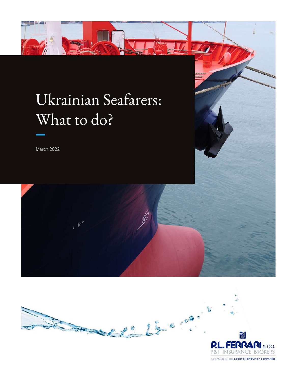

# Ukrainian Seafarers: What to do?

March 2022





A MEMBER OF THE LOCKTON GROUP OF COMPANIES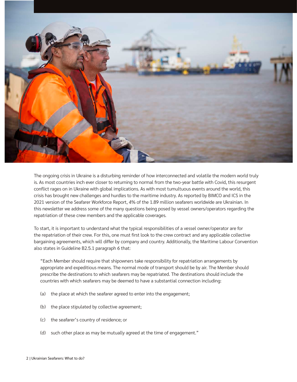

The ongoing crisis in Ukraine is a disturbing reminder of how interconnected and volatile the modern world truly is. As most countries inch ever closer to returning to normal from the two-year battle with Covid, this resurgent conflict rages on in Ukraine with global implications. As with most tumultuous events around the world, this crisis has brought new challenges and hurdles to the maritime industry. As reported by BIMCO and ICS in the 2021 version of the Seafarer Workforce Report, 4% of the 1.89 million seafarers worldwide are Ukrainian. In this newsletter we address some of the many questions being posed by vessel owners/operators regarding the repatriation of these crew members and the applicable coverages.

To start, it is important to understand what the typical responsibilities of a vessel owner/operator are for the repatriation of their crew. For this, one must first look to the crew contract and any applicable collective bargaining agreements, which will differ by company and country. Additionally, the Maritime Labour Convention also states in Guideline B2.5.1 paragraph 6 that:

"Each Member should require that shipowners take responsibility for repatriation arrangements by appropriate and expeditious means. The normal mode of transport should be by air. The Member should prescribe the destinations to which seafarers may be repatriated. The destinations should include the countries with which seafarers may be deemed to have a substantial connection including:

- (a) the place at which the seafarer agreed to enter into the engagement;
- (b) the place stipulated by collective agreement;
- (c) the seafarer's country of residence; or
- (d) such other place as may be mutually agreed at the time of engagement."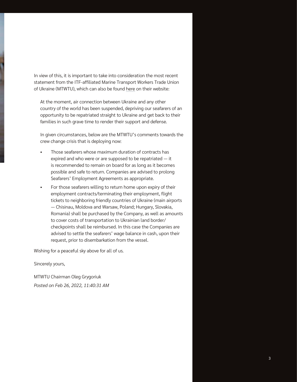In view of this, it is important to take into consideration the most recent statement from the ITF-affiliated Marine Transport Workers Trade Union of Ukraine (MTWTU), which can also be found [here](https://mtwtu.org.ua/en/news/mtwtus-official-statement-on-crew-change-of-ukrainian-seafarers) on their website:

At the moment, air connection between Ukraine and any other country of the world has been suspended, depriving our seafarers of an opportunity to be repatriated straight to Ukraine and get back to their families in such grave time to render their support and defense.

In given circumstances, below are the MTWTU's comments towards the crew change crisis that is deploying now:

- Those seafarers whose maximum duration of contracts has expired and who were or are supposed to be repatriated — it is recommended to remain on board for as long as it becomes possible and safe to return. Companies are advised to prolong Seafarers' Employment Agreements as appropriate.
- For those seafarers willing to return home upon expiry of their employment contracts/terminating their employment, flight tickets to neighboring friendly countries of Ukraine (main airports — Chisinau, Moldova and Warsaw, Poland; Hungary, Slovakia, Romania) shall be purchased by the Company, as well as amounts to cover costs of transportation to Ukrainian land border/ checkpoints shall be reimbursed. In this case the Companies are advised to settle the seafarers' wage balance in cash, upon their request, prior to disembarkation from the vessel.

Wishing for a peaceful sky above for all of us.

Sincerely yours,

MTWTU Chairman Oleg Grygoriuk *Posted on Feb 26, 2022, 11:40:31 AM*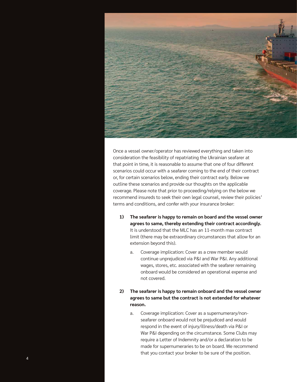

Once a vessel owner/operator has reviewed everything and taken into consideration the feasibility of repatriating the Ukrainian seafarer at that point in time, it is reasonable to assume that one of four different scenarios could occur with a seafarer coming to the end of their contract or, for certain scenarios below, ending their contract early. Below we outline these scenarios and provide our thoughts on the applicable coverage. Please note that prior to proceeding/relying on the below we recommend insureds to seek their own legal counsel, review their policies' terms and conditions, and confer with your insurance broker:

- **1) The seafarer is happy to remain on board and the vessel owner agrees to same, thereby extending their contract accordingly.** It is understood that the MLC has an 11-month max contract limit (there may be extraordinary circumstances that allow for an extension beyond this).
	- a. Coverage implication: Cover as a crew member would continue unprejudiced via P&I and War P&I. Any additional wages, stores, etc. associated with the seafarer remaining onboard would be considered an operational expense and not covered.
- **2) The seafarer is happy to remain onboard and the vessel owner agrees to same but the contract is not extended for whatever reason.**
	- a. Coverage implication: Cover as a supernumerary/nonseafarer onboard would not be prejudiced and would respond in the event of injury/illness/death via P&I or War P&I depending on the circumstance. Some Clubs may require a Letter of Indemnity and/or a declaration to be made for supernumeraries to be on board. We recommend that you contact your broker to be sure of the position.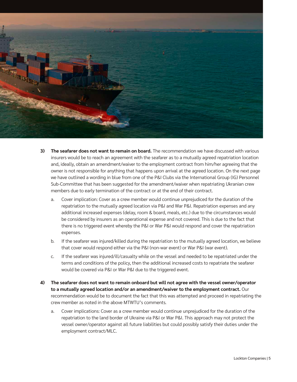

- **3) The seafarer does not want to remain on board.** The recommendation we have discussed with various insurers would be to reach an agreement with the seafarer as to a mutually agreed repatriation location and, ideally, obtain an amendment/waiver to the employment contract from him/her agreeing that the owner is not responsible for anything that happens upon arrival at the agreed location. On the next page we have outlined a wording in blue from one of the P&I Clubs via the International Group (IG) Personnel Sub-Committee that has been suggested for the amendment/waiver when repatriating Ukranian crew members due to early termination of the contract or at the end of their contract.
	- a. Cover implication: Cover as a crew member would continue unprejudiced for the duration of the repatriation to the mutually agreed location via P&I and War P&I. Repatriation expenses and any additional increased expenses (delay, room & board, meals, etc.) due to the circumstances would be considered by insurers as an operational expense and not covered. This is due to the fact that there is no triggered event whereby the P&I or War P&I would respond and cover the repatriation expenses.
	- b. If the seafarer was injured/killed during the repatriation to the mutually agreed location, we believe that cover would respond either via the P&I (non-war event) or War P&I (war event).
	- c. If the seafarer was injured/ill/casualty while on the vessel and needed to be repatriated under the terms and conditions of the policy, then the additional increased costs to repatriate the seafarer would be covered via P&I or War P&I due to the triggered event.
- **4) The seafarer does not want to remain onboard but will not agree with the vessel owner/operator to a mutually agreed location and/or an amendment/waiver to the employment contract.** Our recommendation would be to document the fact that this was attempted and proceed in repatriating the crew member as noted in the above MTWTU's comments.
	- a. Cover implications: Cover as a crew member would continue unprejudiced for the duration of the repatriation to the land border of Ukraine via P&I or War P&I. This approach may not protect the vessel owner/operator against all future liabilities but could possibly satisfy their duties under the employment contract/MLC.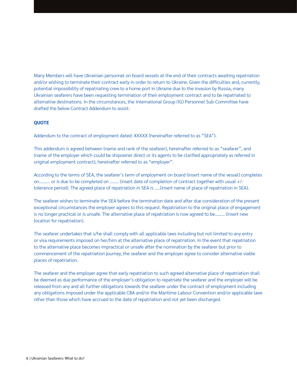Many Members will have Ukrainian personnel on board vessels at the end of their contracts awaiting repatriation and/or wishing to terminate their contract early in order to return to Ukraine. Given the difficulties and, currently, potential impossibility of repatriating crew to a home port in Ukraine due to the invasion by Russia, many Ukrainian seafarers have been requesting termination of their employment contract and to be repatriated to alternative destinations. In the circumstances, the International Group (IG) Personnel Sub-Committee have drafted the below Contract Addendum to assist:

#### **QUOTE**

Addendum to the contract of employment dated: XXXXX (hereinafter referred to as "SEA").

This addendum is agreed between (name and rank of the seafarer), hereinafter referred to as "seafarer", and (name of the employer which could be shipowner direct or its agents to be clarified appropriately as referred in original employment contract), hereinafter referred to as "employer".

According to the terms of SEA, the seafarer's term of employment on board (insert name of the vessel) completes on………. or is due to be completed on …….. (insert date of completion of contract together with usual +/ tolerance period). The agreed place of repatriation in SEA is …..(insert name of place of repatriation in SEA).

The seafarer wishes to terminate the SEA before the termination date and after due consideration of the present exceptional circumstances the employer agrees to this request. Repatriation to the original place of engagement is no longer practical or is unsafe. The alternative place of repatriation is now agreed to be……… (insert new location for repatriation).

The seafarer undertakes that s/he shall comply with all applicable laws including but not limited to any entry or visa requirements imposed on her/him at the alternative place of repatriation. In the event that repatriation to the alternative place becomes impractical or unsafe after the nomination by the seafarer but prior to commencement of the repatriation journey, the seafarer and the employer agree to consider alternative viable places of repatriation.

The seafarer and the employer agree that early repatriation to such agreed alternative place of repatriation shall be deemed as due performance of the employer's obligation to repatriate the seafarer and the employer will be released from any and all further obligations towards the seafarer under the contract of employment including any obligations imposed under the applicable CBA and/or the Maritime Labour Convention and/or applicable laws other than those which have accrued to the date of repatriation and not yet been discharged.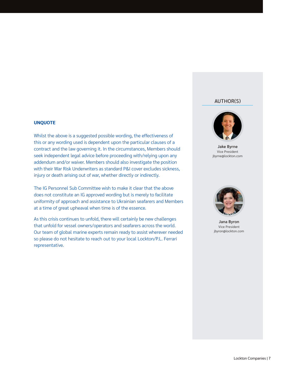### AUTHOR(S)

#### **UNQUOTE**

Whilst the above is a suggested possible wording, the effectiveness of this or any wording used is dependent upon the particular clauses of a contract and the law governing it. In the circumstances, Members should seek independent legal advice before proceeding with/relying upon any addendum and/or waiver. Members should also investigate the position with their War Risk Underwriters as standard P&I cover excludes sickness, injury or death arising out of war, whether directly or indirectly.

The IG Personnel Sub Committee wish to make it clear that the above does not constitute an IG approved wording but is merely to facilitate uniformity of approach and assistance to Ukrainian seafarers and Members at a time of great upheaval when time is of the essence.

As this crisis continues to unfold, there will certainly be new challenges that unfold for vessel owners/operators and seafarers across the world. Our team of global marine experts remain ready to assist wherever needed so please do not hesitate to reach out to your local Lockton/P.L. Ferrari representative.



Jake Byrne Vice President jbyrne@lockton.com



Jana Byron Vice President jbyron@lockton.com